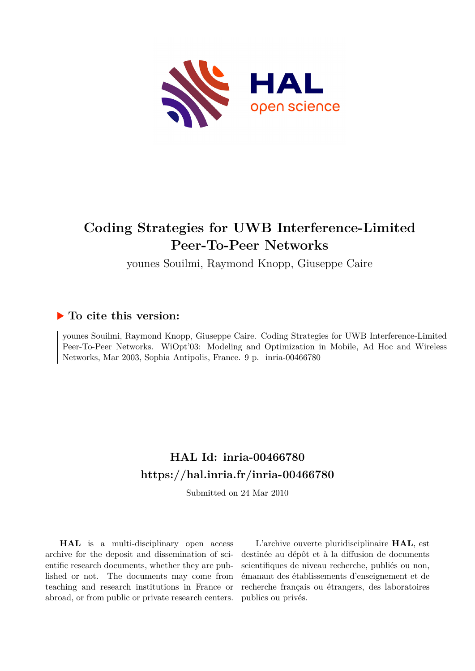

# **Coding Strategies for UWB Interference-Limited Peer-To-Peer Networks**

younes Souilmi, Raymond Knopp, Giuseppe Caire

## **To cite this version:**

younes Souilmi, Raymond Knopp, Giuseppe Caire. Coding Strategies for UWB Interference-Limited Peer-To-Peer Networks. WiOpt'03: Modeling and Optimization in Mobile, Ad Hoc and Wireless Networks, Mar 2003, Sophia Antipolis, France. 9 p. inria-00466780

# **HAL Id: inria-00466780 <https://hal.inria.fr/inria-00466780>**

Submitted on 24 Mar 2010

**HAL** is a multi-disciplinary open access archive for the deposit and dissemination of scientific research documents, whether they are published or not. The documents may come from teaching and research institutions in France or abroad, or from public or private research centers.

L'archive ouverte pluridisciplinaire **HAL**, est destinée au dépôt et à la diffusion de documents scientifiques de niveau recherche, publiés ou non, émanant des établissements d'enseignement et de recherche français ou étrangers, des laboratoires publics ou privés.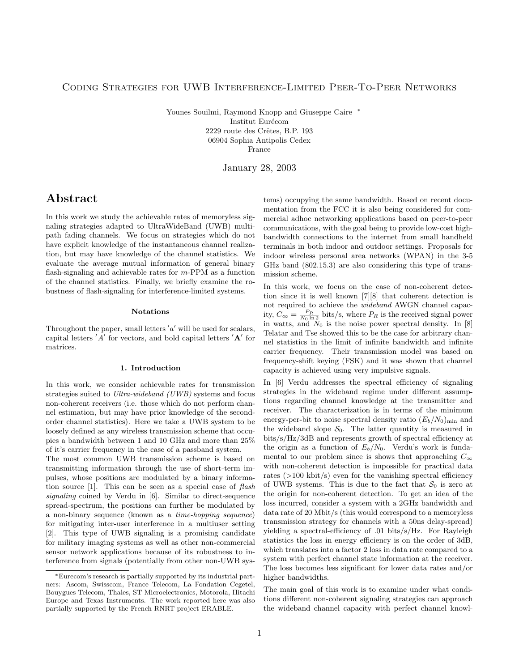#### Coding Strategies for UWB Interference-Limited Peer-To-Peer Networks

Younes Souilmi, Raymond Knopp and Giuseppe Caire ∗ Institut Eurécom 2229 route des Crêtes, B.P. 193 06904 Sophia Antipolis Cedex France

January 28, 2003

### Abstract

In this work we study the achievable rates of memoryless signaling strategies adapted to UltraWideBand (UWB) multipath fading channels. We focus on strategies which do not have explicit knowledge of the instantaneous channel realization, but may have knowledge of the channel statistics. We evaluate the average mutual information of general binary flash-signaling and achievable rates for m-PPM as a function of the channel statistics. Finally, we briefly examine the robustness of flash-signaling for interference-limited systems.

#### Notations

Throughout the paper, small letters  $'a'$  will be used for scalars, capital letters  $'A'$  for vectors, and bold capital letters  $'A'$  for matrices.

#### 1. Introduction

In this work, we consider achievable rates for transmission strategies suited to Ultra-wideband (UWB) systems and focus non-coherent receivers (i.e. those which do not perform channel estimation, but may have prior knowledge of the secondorder channel statistics). Here we take a UWB system to be loosely defined as any wireless transmission scheme that occupies a bandwidth between 1 and 10 GHz and more than 25% of it's carrier frequency in the case of a passband system.

The most common UWB transmission scheme is based on transmitting information through the use of short-term impulses, whose positions are modulated by a binary information source [1]. This can be seen as a special case of flash signaling coined by Verdu in [6]. Similar to direct-sequence spread-spectrum, the positions can further be modulated by a non-binary sequence (known as a time-hopping sequence) for mitigating inter-user interference in a multiuser setting [2]. This type of UWB signaling is a promising candidate for military imaging systems as well as other non-commercial sensor network applications because of its robustness to interference from signals (potentially from other non-UWB systems) occupying the same bandwidth. Based on recent documentation from the FCC it is also being considered for commercial adhoc networking applications based on peer-to-peer communications, with the goal being to provide low-cost highbandwidth connections to the internet from small handheld terminals in both indoor and outdoor settings. Proposals for indoor wireless personal area networks (WPAN) in the 3-5 GHz band (802.15.3) are also considering this type of transmission scheme.

In this work, we focus on the case of non-coherent detection since it is well known [7][8] that coherent detection is not required to achieve the wideband AWGN channel capacity,  $C_{\infty} = \frac{P_R}{N_0 \ln 2}$  bits/s, where  $P_R$  is the received signal power in watts, and  $N_0$  is the noise power spectral density. In [8] Telatar and Tse showed this to be the case for arbitrary channel statistics in the limit of infinite bandwidth and infinite carrier frequency. Their transmission model was based on frequency-shift keying (FSK) and it was shown that channel capacity is achieved using very impulsive signals.

In [6] Verdu addresses the spectral efficiency of signaling strategies in the wideband regime under different assumptions regarding channel knowledge at the transmitter and receiver. The characterization is in terms of the minimum energy-per-bit to noise spectral density ratio  $(E_b/N_0)_{\text{min}}$  and the wideband slope  $S_0$ . The latter quantity is measured in bits/s/Hz/3dB and represents growth of spectral efficiency at the origin as a function of  $E_b/N_0$ . Verdu's work is fundamental to our problem since is shows that approaching  $C_{\infty}$ with non-coherent detection is impossible for practical data rates (>100 kbit/s) even for the vanishing spectral efficiency of UWB systems. This is due to the fact that  $S_0$  is zero at the origin for non-coherent detection. To get an idea of the loss incurred, consider a system with a 2GHz bandwidth and data rate of 20 Mbit/s (this would correspond to a memoryless transmission strategy for channels with a 50ns delay-spread) yielding a spectral-efficiency of .01 bits/s/Hz. For Rayleigh statistics the loss in energy efficiency is on the order of 3dB, which translates into a factor 2 loss in data rate compared to a system with perfect channel state information at the receiver. The loss becomes less significant for lower data rates and/or higher bandwidths.

The main goal of this work is to examine under what conditions different non-coherent signaling strategies can approach the wideband channel capacity with perfect channel knowl-

<sup>∗</sup>Eurecom's research is partially supported by its industrial partners: Ascom, Swisscom, France Telecom, La Fondation Cegetel, Bouygues Telecom, Thales, ST Microelectronics, Motorola, Hitachi Europe and Texas Instruments. The work reported here was also partially supported by the French RNRT project ERABLE.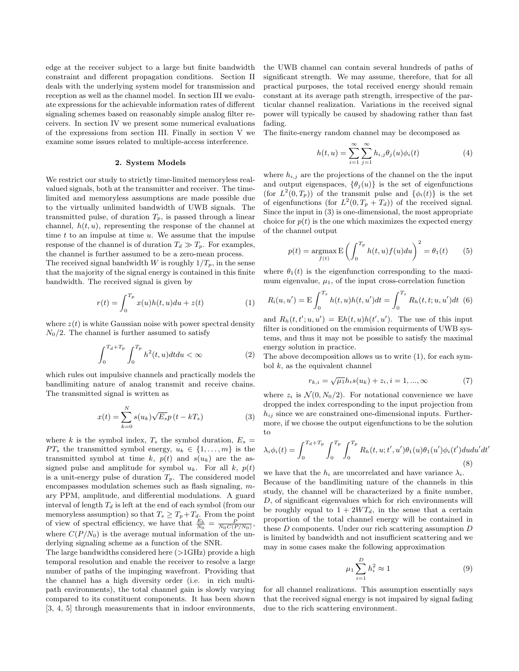edge at the receiver subject to a large but finite bandwidth constraint and different propagation conditions. Section II deals with the underlying system model for transmission and reception as well as the channel model. In section III we evaluate expressions for the achievable information rates of different signaling schemes based on reasonably simple analog filter receivers. In section IV we present some numerical evaluations of the expressions from section III. Finally in section V we examine some issues related to multiple-access interference.

#### 2. System Models

We restrict our study to strictly time-limited memoryless realvalued signals, both at the transmitter and receiver. The timelimited and memoryless assumptions are made possible due to the virtually unlimited bandwidth of UWB signals. The transmitted pulse, of duration  $T_p$ , is passed through a linear channel,  $h(t, u)$ , representing the response of the channel at time  $t$  to an impulse at time  $u$ . We assume that the impulse response of the channel is of duration  $T_d \gg T_p$ . For examples, the channel is further assumed to be a zero-mean process.

The received signal bandwidth W is roughly  $1/T_p$ , in the sense that the majority of the signal energy is contained in this finite bandwidth. The received signal is given by

$$
r(t) = \int_0^{T_p} x(u)h(t, u)du + z(t)
$$
 (1)

where  $z(t)$  is white Gaussian noise with power spectral density  $N_0/2$ . The channel is further assumed to satisfy

$$
\int_0^{T_d+T_p} \int_0^{T_p} h^2(t, u) dt du < \infty
$$
 (2)

which rules out impulsive channels and practically models the bandlimiting nature of analog transmit and receive chains. The transmitted signal is written as

$$
x(t) = \sum_{k=0}^{N} s(u_k) \sqrt{E_s} p(t - kT_s)
$$
 (3)

where k is the symbol index,  $T_s$  the symbol duration,  $E_s =$  $PT_s$  the transmitted symbol energy,  $u_k \in \{1, \ldots, m\}$  is the transmitted symbol at time k,  $p(t)$  and  $s(u_k)$  are the assigned pulse and amplitude for symbol  $u_k$ . For all  $k$ ,  $p(t)$ is a unit-energy pulse of duration  $T_p$ . The considered model encompasses modulation schemes such as flash signaling, mary PPM, amplitude, and differential modulations. A guard interval of length  $T_d$  is left at the end of each symbol (from our memoryless assumption) so that  $T_s \geq T_p + T_d$ . From the point of view of spectral efficiency, we have that  $\frac{E_b}{N_0} = \frac{P}{N_0 C(P/N_0)}$ , where  $C(P/N_0)$  is the average mutual information of the underlying signaling scheme as a function of the SNR.

The large bandwidths considered here  $(>1$ GHz) provide a high temporal resolution and enable the receiver to resolve a large number of paths of the impinging wavefront. Providing that the channel has a high diversity order (i.e. in rich multipath environments), the total channel gain is slowly varying compared to its constituent components. It has been shown [3, 4, 5] through measurements that in indoor environments,

the UWB channel can contain several hundreds of paths of significant strength. We may assume, therefore, that for all practical purposes, the total received energy should remain constant at its average path strength, irrespective of the particular channel realization. Variations in the received signal power will typically be caused by shadowing rather than fast fading.

The finite-energy random channel may be decomposed as

$$
h(t, u) = \sum_{i=1}^{\infty} \sum_{j=1}^{\infty} h_{i,j} \theta_j(u) \phi_i(t)
$$
 (4)

where  $h_{i,j}$  are the projections of the channel on the the input and output eigenspaces,  $\{\theta_j(u)\}\$ is the set of eigenfunctions (for  $L^2(0,T_p)$ ) of the transmit pulse and  $\{\phi_i(t)\}\$ is the set of eigenfunctions (for  $L^2(0,T_p+T_d)$ ) of the received signal. Since the input in (3) is one-dimensional, the most appropriate choice for  $p(t)$  is the one which maximizes the expected energy of the channel output

$$
p(t) = \operatorname*{argmax}_{f(t)} \mathbf{E} \left( \int_0^{T_p} h(t, u) f(u) du \right)^2 = \theta_1(t) \tag{5}
$$

where  $\theta_1(t)$  is the eigenfunction corresponding to the maximum eigenvalue,  $\mu_1$ , of the input cross-correlation function

$$
R_{i}(u, u') = \mathbf{E} \int_{0}^{T_{s}} h(t, u)h(t, u')dt = \int_{0}^{T_{s}} R_{h}(t, t; u, u')dt
$$
 (6)

and  $R_h(t, t'; u, u') = Eh(t, u)h(t', u')$ . The use of this input filter is conditioned on the emmision requirments of UWB systems, and thus it may not be possible to satisfy the maximal energy solution in practice.

The above decomposition allows us to write (1), for each symbol  $k$ , as the equivalent channel

$$
r_{k,i} = \sqrt{\mu_1} h_i s(u_k) + z_i, i = 1, ..., \infty
$$
 (7)

where  $z_i$  is  $\mathcal{N}(0, N_0/2)$ . For notational convenience we have dropped the index corresponding to the input projection from  $h_{ij}$  since we are constrained one-dimensional inputs. Furthermore, if we choose the output eigenfunctions to be the solution to

$$
\lambda_i \phi_i(t) = \int_0^{T_d + T_p} \int_0^{T_p} \int_0^{T_p} R_h(t, u; t', u') \theta_1(u) \theta_1(u') \phi_i(t') du du' dt'
$$
\n(8)

we have that the  $h_i$  are uncorrelated and have variance  $\lambda_i$ . Because of the bandlimiting nature of the channels in this study, the channel will be characterized by a finite number, D, of significant eigenvalues which for rich environments will be roughly equal to  $1 + 2WT_d$ , in the sense that a certain proportion of the total channel energy will be contained in these D components. Under our rich scattering assumption D is limited by bandwidth and not insufficient scattering and we may in some cases make the following approximation

$$
\mu_1 \sum_{i=1}^D h_i^2 \approx 1 \tag{9}
$$

for all channel realizations. This assumption essentially says that the received signal energy is not impaired by signal fading due to the rich scattering environment.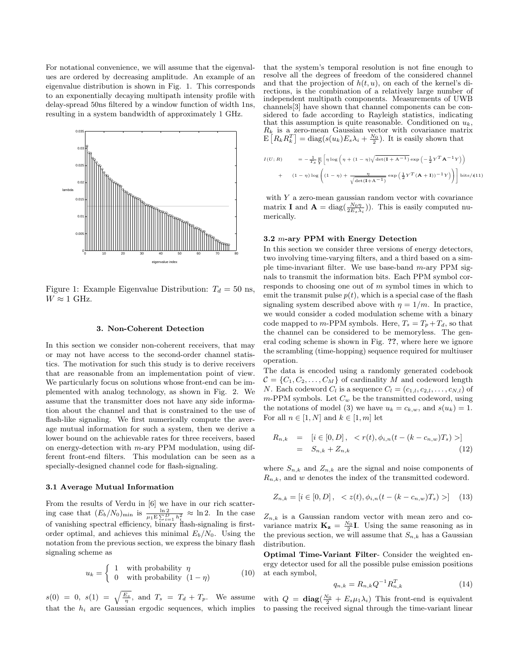For notational convenience, we will assume that the eigenvalues are ordered by decreasing amplitude. An example of an eigenvalue distribution is shown in Fig. 1. This corresponds to an exponentially decaying multipath intensity profile with delay-spread 50ns filtered by a window function of width 1ns, resulting in a system bandwidth of approximately 1 GHz.



Figure 1: Example Eigenvalue Distribution:  $T_d = 50$  ns,  $W \approx 1$  GHz.

#### 3. Non-Coherent Detection

In this section we consider non-coherent receivers, that may or may not have access to the second-order channel statistics. The motivation for such this study is to derive receivers that are reasonable from an implementation point of view. We particularly focus on solutions whose front-end can be implemented with analog technology, as shown in Fig. 2. We assume that the transmitter does not have any side information about the channel and that is constrained to the use of flash-like signaling. We first numerically compute the average mutual information for such a system, then we derive a lower bound on the achievable rates for three receivers, based on energy-detection with m-ary PPM modulation, using different front-end filters. This modulation can be seen as a specially-designed channel code for flash-signaling.

#### 3.1 Average Mutual Information

From the results of Verdu in [6] we have in our rich scattering case that  $(E_b/N_0)_{\text{min}}$  is  $\frac{\ln 2}{\mu_1 \mathbf{E} \sum_{i=1}^D h_i^2} \approx \ln 2$ . In the case of vanishing spectral efficiency, binary flash-signaling is firstorder optimal, and achieves this minimal  $E_b/N_0$ . Using the notation from the previous section, we express the binary flash signaling scheme as

$$
u_k = \begin{cases} 1 & \text{with probability } \eta \\ 0 & \text{with probability } (1 - \eta) \end{cases} \tag{10}
$$

 $s(0) = 0, s(1) = \sqrt{\frac{E_s}{\eta}}, \text{ and } T_s = T_d + T_p.$  We assume that the  $h_i$  are Gaussian ergodic sequences, which implies that the system's temporal resolution is not fine enough to resolve all the degrees of freedom of the considered channel and that the projection of  $h(t, u)$ , on each of the kernel's directions, is the combination of a relatively large number of independent multipath components. Measurements of UWB channels[3] have shown that channel components can be considered to fade according to Rayleigh statistics, indicating that this assumption is quite reasonable. Conditioned on  $u_k$ ,  $R_k$  is a zero-mean Gaussian vector with covariance matrix  $E[R_k R_k^T] = \text{diag}(s(u_k)E_s \lambda_i + \frac{N_0}{2})$ . It is easily shown that

$$
I(U;R) = -\frac{1}{T_s} \frac{\mathrm{E}}{Y} \left[ \eta \log \left( \eta + (1 - \eta) \sqrt{\det(\mathbf{I} + \mathbf{A}^{-1})} \exp\left( -\frac{1}{2} Y^T \mathbf{A}^{-1} Y \right) \right) + (1 - \eta) \log \left( (1 - \eta) + \frac{\eta}{\sqrt{\det(\mathbf{I} + \mathbf{A}^{-1})}} \exp\left( \frac{1}{2} Y^T (\mathbf{A} + \mathbf{I}) \right)^{-1} Y \right) \right) \right] \text{bits/}(11)
$$

with  $Y$  a zero-mean gaussian random vector with covariance matrix **I** and  $\mathbf{A} = \text{diag}(\frac{N_0 \eta}{2 E_s \lambda_i})$ . This is easily computed numerically.

#### 3.2 m-ary PPM with Energy Detection

In this section we consider three versions of energy detectors, two involving time-varying filters, and a third based on a simple time-invariant filter. We use base-band  $m$ -ary PPM signals to transmit the information bits. Each PPM symbol corresponds to choosing one out of m symbol times in which to emit the transmit pulse  $p(t)$ , which is a special case of the flash signaling system described above with  $\eta = 1/m$ . In practice, we would consider a coded modulation scheme with a binary code mapped to m-PPM symbols. Here,  $T_s = T_p + T_d$ , so that the channel can be considered to be memoryless. The general coding scheme is shown in Fig. ??, where here we ignore the scrambling (time-hopping) sequence required for multiuser operation.

The data is encoded using a randomly generated codebook  $C = \{C_1, C_2, \ldots, C_M\}$  of cardinality M and codeword length N. Each codeword  $C_l$  is a sequence  $C_l = (c_{1,l}, c_{2,l}, \ldots, c_{N,l})$  of  $m$ -PPM symbols. Let  $C_w$  be the transmitted codeword, using the notations of model (3) we have  $u_k = c_{k,w}$ , and  $s(u_k) = 1$ . For all  $n \in [1, N]$  and  $k \in [1, m]$  let

$$
R_{n,k} = [i \in [0, D], < r(t), \phi_{i,n}(t - (k - c_{n,w})T_s) >]
$$
  
=  $S_{n,k} + Z_{n,k}$  (12)

where  $S_{n,k}$  and  $Z_{n,k}$  are the signal and noise components of  $R_{n,k}$ , and w denotes the index of the transmitted codeword.

$$
Z_{n,k} = [i \in [0, D], < z(t), \phi_{i,n}(t - (k - c_{n,w})T_s) > ] \quad (13)
$$

 $Z_{n,k}$  is a Gaussian random vector with mean zero and covariance matrix  $\mathbf{K}_{z} = \frac{N_{0}}{2} \mathbf{I}$ . Using the same reasoning as in the previous section, we will assume that  $S_{n,k}$  has a Gaussian distribution.

Optimal Time-Variant Filter- Consider the weighted energy detector used for all the possible pulse emission positions at each symbol,

$$
q_{n,k} = R_{n,k} Q^{-1} R_{n,k}^T
$$
 (14)

with  $Q = diag(\frac{N_0}{2} + E_s \mu_1 \lambda_i)$  This front-end is equivalent to passing the received signal through the time-variant linear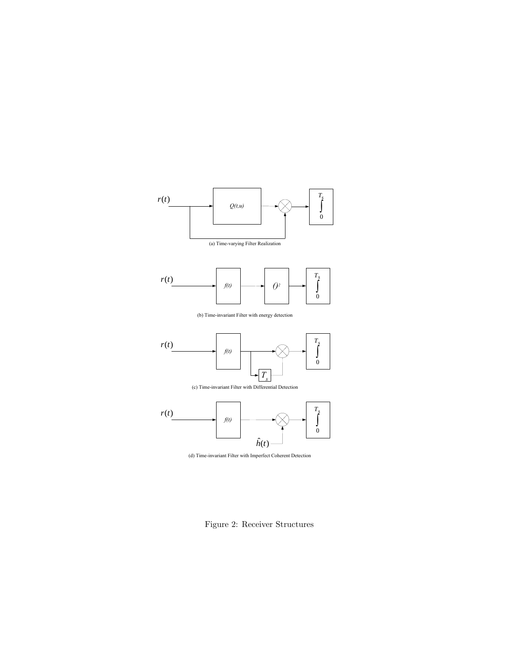

(a) Time-varying Filter Realization



(b) Time-invariant Filter with energy detection



(c) Time-invariant Filter with Differential Detection





Figure 2: Receiver Structures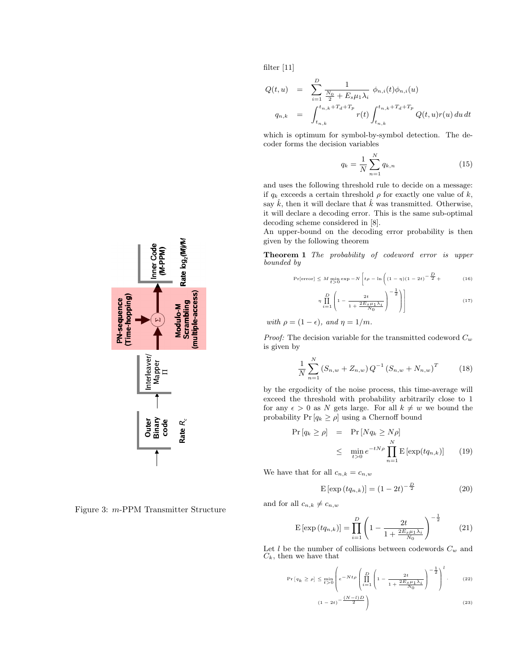$$
Q(t, u) = \sum_{i=1}^{D} \frac{1}{\frac{N_0}{2} + E_s \mu_1 \lambda_i} \phi_{n,i}(t) \phi_{n,i}(u)
$$
  

$$
q_{n,k} = \int_{t_{n,k}}^{t_{n,k} + T_d + T_p} r(t) \int_{t_{n,k}}^{t_{n,k} + T_d + T_p} Q(t, u) r(u) du dt
$$

which is optimum for symbol-by-symbol detection. The decoder forms the decision variables

$$
q_k = \frac{1}{N} \sum_{n=1}^{N} q_{k,n}
$$
 (15)

and uses the following threshold rule to decide on a message: if  $q_k$  exceeds a certain threshold  $\rho$  for exactly one value of  $k$ , say  $\hat{k}$ , then it will declare that  $\hat{k}$  was transmitted. Otherwise, it will declare a decoding error. This is the same sub-optimal decoding scheme considered in [8].

An upper-bound on the decoding error probability is then given by the following theorem

Theorem 1 The probability of codeword error is upper bounded by

$$
\Pr[\text{error}] \le M \min_{t>0} \exp -N \left[ t\rho - \ln \left( (1-\eta)(1-2t) - \frac{D}{2} + \right) \right]
$$
 (16)

$$
\eta \prod_{i=1}^{D} \left( 1 - \frac{2t}{1 + \frac{2E_S \mu_1 \lambda_i}{N_0}} \right)^{-\frac{1}{2}} \Bigg) \Bigg] \tag{17}
$$

 $\frac{1}{\epsilon}$   $\frac{1}{\epsilon}$   $\frac{1}{\epsilon}$   $\frac{1}{m}$   $\frac{1}{m}$   $\frac{1}{m}$   $\frac{1}{m}$   $\frac{1}{m}$   $\frac{1}{m}$   $\frac{1}{m}$ 

 $\leq \delta$   $\equiv$  *Proof:* The decision variable for the transmitted codeword  $C_w$  $\mathbf{S}$  is given by

$$
\frac{1}{N} \sum_{n=1}^{N} \left( S_{n,w} + Z_{n,w} \right) Q^{-1} \left( S_{n,w} + N_{n,w} \right)^{T} \tag{18}
$$

by the ergodicity of the noise process, this time-average will exceed the threshold with probability arbitrarily close to 1 for any  $\epsilon > 0$  as N gets large. For all  $k \neq w$  we bound the probability  $Pr [q_k \geq \rho]$  using a Chernoff bound

$$
\Pr\left[q_k \ge \rho\right] = \Pr\left[Nq_k \ge N\rho\right] \le \min_{t>0} e^{-tN\rho} \prod_{n=1}^N \mathbb{E}\left[\exp(tq_{n,k})\right] \tag{19}
$$

We have that for all  $c_{n,k} = c_{n,w}$ 

$$
E\left[\exp\left(tq_{n,k}\right)\right] = \left(1 - 2t\right)^{-\frac{D}{2}}\tag{20}
$$

and for all  $c_{n,k} \neq c_{n,w}$ 

$$
E\left[\exp\left(tq_{n,k}\right)\right] = \prod_{i=1}^{D} \left(1 - \frac{2t}{1 + \frac{2E_s\mu_1\lambda_i}{N_0}}\right)^{-\frac{1}{2}}\tag{21}
$$

Let  $l$  be the number of collisions between codewords  $C_w$  and  $C_k$ , then we have that

$$
\Pr\left[q_k \geq \rho\right] \leq \min_{t>0} \left(e^{-Nt\rho} \left(\prod_{i=1}^D \left(1 - \frac{2t}{1 + \frac{2E_s\mu_1\lambda_i}{N_0}}\right)^{-\frac{1}{2}}\right)^l. \tag{22}
$$

$$
(1-2t)^{-\frac{(N-l)D}{2}}
$$
\n
$$
\tag{23}
$$



Figure 3: m-PPM Transmitter Structure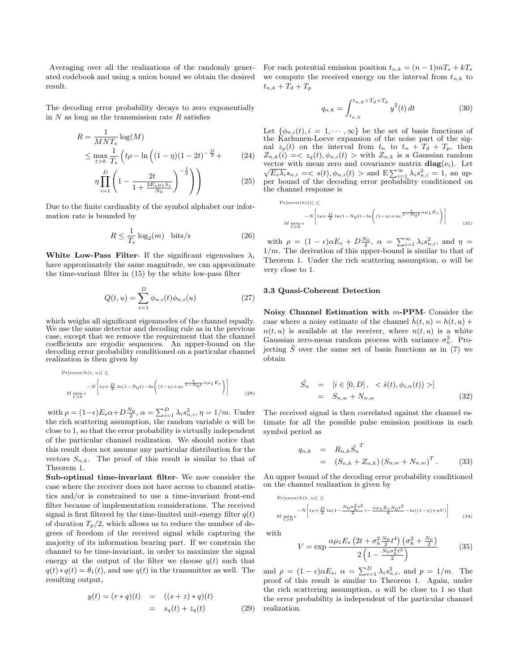Averaging over all the realizations of the randomly generated codebook and using a union bound we obtain the desired result.

The decoding error probability decays to zero exponentially in  $N$  as long as the transmission rate  $R$  satisfies

$$
R = \frac{1}{MNT_s} \log(M)
$$
  
\n
$$
\leq \max_{t>0} \frac{1}{T_s} \left( t\rho - \ln\left( (1-\eta)(1-2t)^{-\frac{D}{2}} + \right) \right)
$$
 (24)

$$
\eta \prod_{i=1}^{D} \left( 1 - \frac{2t}{1 + \frac{2E_s \mu_1 \lambda_i}{N_0}} \right)^{-\frac{1}{2}} \Bigg) \tag{25}
$$

Due to the finite cardinality of the symbol alphabet our information rate is bounded by

$$
R \le \frac{1}{T_s} \log_2(m) \quad \text{bits/s} \tag{26}
$$

White Low-Pass Filter- If the significant eigenvalues  $\lambda_i$ have approximately the same magnitude, we can approximate the time-variant filter in (15) by the white low-pass filter

$$
Q(t, u) = \sum_{i=1}^{D} \phi_{n,i}(t)\phi_{n,i}(u)
$$
 (27)

which weighs all significant eigenmodes of the channel equally. We use the same detector and decoding rule as in the previous case, except that we remove the requirement that the channel coefficients are ergodic sequences. An upper-bound on the decoding error probability conditioned on a particular channel realization is then given by

$$
\Pr[\text{error}|h(t, u)] \le -N \left[ t\rho + \frac{D}{2} \ln(1 - N_0 t) - \ln\left( (1 - \eta) + \eta e^{\frac{t}{1 - N_0 t} \alpha \mu_1 E_s} \right) \right]
$$
\n
$$
M \min_{t>0} e \tag{28}
$$

with  $\rho = (1 - \epsilon) E_s \alpha + D \frac{N_0}{2}, \alpha = \sum_{i=1}^D \lambda_i s_{n,i}^2, \eta = 1/m$ . Under the rich scattering assumption, the random variable  $\alpha$  will be close to 1, so that the error probability is virtually independent of the particular channel realization. We should notice that this result does not assume any particular distribution for the vectors  $S_{n,k}$ . The proof of this result is similar to that of Theorem 1.

Sub-optimal time-invariant filter- We now consider the case where the receiver does not have access to channel statistics and/or is constrained to use a time-invariant front-end filter because of implementation considerations. The received signal is first filtered by the time-limited unit-energy filter  $q(t)$ of duration  $T_p/2$ , which allows us to reduce the number of degrees of freedom of the received signal while capturing the majority of its information bearing part. If we constrain the channel to be time-invariant, in order to maximize the signal energy at the output of the filter we choose  $q(t)$  such that  $q(t) * q(t) = \theta_1(t)$ , and use  $q(t)$  in the transmitter as well. The resulting output,

$$
y(t) = (r * q)(t) = ((s + z) * q)(t)
$$
  
=  $s_q(t) + z_q(t)$  (29)

For each potential emission position  $t_{n,k} = (n-1)mT_s + kT_s$ we compute the received energy on the interval from  $t_{n,k}$  to  $t_{n,k} + T_d + T_p$ 

$$
q_{n,k} = \int_{t_{n,k}}^{t_{n,k} + T_d + T_p} y^2(t) dt
$$
 (30)

Let  $\{\phi_{n,i}(t), i = 1, \dots, \infty\}$  be the set of basis functions of the Karhunen-Loeve expansion of the noise part of the signal  $z_p(t)$  on the interval from  $t_n$  to  $t_n + T_d + T_p$ , then  $Z_{n,k}(i) = \langle z_q(t), \phi_{n,i}(t) \rangle$  with  $Z_{n,k}$  is a Gaussian random vector with mean zero and covariance matrix  $diag(\nu_i)$ . Let vector with mean zero and covariance matrix  $\mathbf{diag}(v_i)$ . Let  $\sqrt{E_s \lambda_i} s_{n,i} = \langle s(t), \phi_{n,i}(t) \rangle$  and  $\mathbb{E} \sum_{i=1}^{\infty} \lambda_i s_{n,i}^2 = 1$ , an upper bound of the decoding error probability conditioned on the channel response is

$$
\Pr[\text{error}|h(t)] \le -N \left[ t\rho + \frac{D}{2} \ln(1 - N_0 t) - \ln\left( (1 - \eta) + \eta e^{-\frac{t}{1 - N_0 t} \alpha \mu_1 E_s} \right) \right]
$$
\n
$$
M \min_{t>0} e
$$
\n(31)

with  $\rho = (1 - \epsilon)\alpha E_s + D\frac{N_0}{2}, \alpha = \sum_{i=1}^{\infty} \lambda_i s_{n,i}^2$ , and  $\eta =$  $1/m$ . The derivation of this upper-bound is similar to that of Theorem 1. Under the rich scattering assumption,  $\alpha$  will be very close to 1.

#### 3.3 Quasi-Coherent Detection

Noisy Channel Estimation with m-PPM- Consider the case where a noisy estimate of the channel  $h(t, u) = h(t, u) +$  $n(t, u)$  is available at the receiver, where  $n(t, u)$  is a white Gaussian zero-mean random process with variance  $\sigma_h^2$ . Projecting  $\tilde{S}$  over the same set of basis functions as in (7) we obtain

$$
\tilde{S}_n = [i \in [0, D], < \tilde{s}(t), \phi_{i,n}(t)) > ]
$$
  
=  $S_{n,w} + N_{n,w}$  (32)

The received signal is then correlated against the channel estimate for all the possible pulse emission positions in each symbol period as

$$
q_{n,k} = R_{n,k} \tilde{S}_n^T
$$
  
=  $(S_{n,k} + Z_{n,k}) (S_{n,w} + N_{n,w})^T$ . (33)

An upper bound of the decoding error probability conditioned on the channel realization is given by

$$
\Pr[\text{error}|h(t, u)] \le
$$

$$
M \min_{t>0} e^{-N \left[ t\rho + \frac{D}{2}\ln(1 - \frac{N_0\sigma_h^2 t^2}{2}) - \frac{\alpha \mu_1 E_s N_0 t^2}{4} - \ln((1 - \eta) + \eta V) \right] \tag{34}
$$

with

$$
V = \exp \frac{\alpha \mu_1 E_s \left(2t + \sigma_h^2 \frac{N_0}{2} t^4\right) \left(\sigma_h^2 + \frac{N_0}{2}\right)}{2 \left(1 - \frac{N_0 \sigma_h^2 t^2}{2}\right)}\tag{35}
$$

and  $\rho = (1 - \epsilon)\alpha E_s$ ,  $\alpha = \sum_{i=1}^D \lambda_i s_{n,i}^2$ , and  $p = 1/m$ . The proof of this result is similar to Theorem 1. Again, under the rich scattering assumption,  $\alpha$  will be close to 1 so that the error probability is independent of the particular channel realization.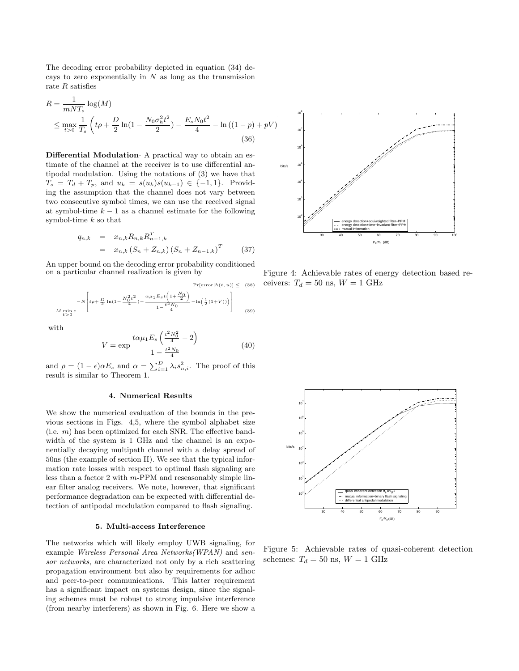The decoding error probability depicted in equation (34) decays to zero exponentially in  $N$  as long as the transmission rate R satisfies

$$
R = \frac{1}{mNT_s} \log(M)
$$
  
\n
$$
\leq \max_{t>0} \frac{1}{T_s} \left( t\rho + \frac{D}{2} \ln(1 - \frac{N_0 \sigma_h^2 t^2}{2}) - \frac{E_s N_0 t^2}{4} - \ln((1 - p) + pV) \right)
$$
  
\n(36)

Differential Modulation- A practical way to obtain an estimate of the channel at the receiver is to use differential antipodal modulation. Using the notations of (3) we have that  $T_s = T_d + T_p$ , and  $u_k = s(u_k)s(u_{k-1}) \in \{-1,1\}$ . Providing the assumption that the channel does not vary between two consecutive symbol times, we can use the received signal at symbol-time  $k - 1$  as a channel estimate for the following symbol-time  $k$  so that

$$
q_{n,k} = x_{n,k} R_{n,k} R_{n-1,k}^T
$$
  
=  $x_{n,k} (S_n + Z_{n,k}) (S_n + Z_{n-1,k})^T$  (37)

An upper bound on the decoding error probability conditioned on a particular channel realization is given by

 $Pr[error|h(t, u)] \leq (38)$ 

$$
-N\left[t\rho + \frac{D}{2}\ln(1-\frac{N_0^2t^2}{4}) - \frac{\alpha\mu_1E_st\left(1+\frac{N_0}{2}\right)}{1-\frac{t^2N_0}{4}} - \ln\left(\frac{1}{2}(1+V)\right)\right]
$$
\n
$$
M\min_{t>0}e
$$
\n(39)

with

$$
V = \exp \frac{t \alpha \mu_1 E_s \left(\frac{t^2 N_0^2}{4} - 2\right)}{1 - \frac{t^2 N_0}{4}}
$$
(40)

and  $\rho = (1 - \epsilon)\alpha E_s$  and  $\alpha = \sum_{i=1}^D \lambda_i s_{n,i}^2$ . The proof of this result is similar to Theorem 1.

#### 4. Numerical Results

We show the numerical evaluation of the bounds in the previous sections in Figs. 4,5, where the symbol alphabet size (i.e.  $m$ ) has been optimized for each SNR. The effective bandwidth of the system is 1 GHz and the channel is an exponentially decaying multipath channel with a delay spread of 50ns (the example of section II). We see that the typical information rate losses with respect to optimal flash signaling are less than a factor 2 with m-PPM and reseasonably simple linear filter analog receivers. We note, however, that significant performance degradation can be expected with differential detection of antipodal modulation compared to flash signaling.

#### 5. Multi-access Interference

The networks which will likely employ UWB signaling, for example Wireless Personal Area Networks(WPAN) and sensor networks, are characterized not only by a rich scattering propagation environment but also by requirements for adhoc and peer-to-peer communications. This latter requirement has a significant impact on systems design, since the signaling schemes must be robust to strong impulsive interference (from nearby interferers) as shown in Fig. 6. Here we show a



Figure 4: Achievable rates of energy detection based receivers:  $T_d = 50$  ns,  $W = 1$  GHz



Figure 5: Achievable rates of quasi-coherent detection schemes:  $T_d = 50$  ns,  $W = 1$  GHz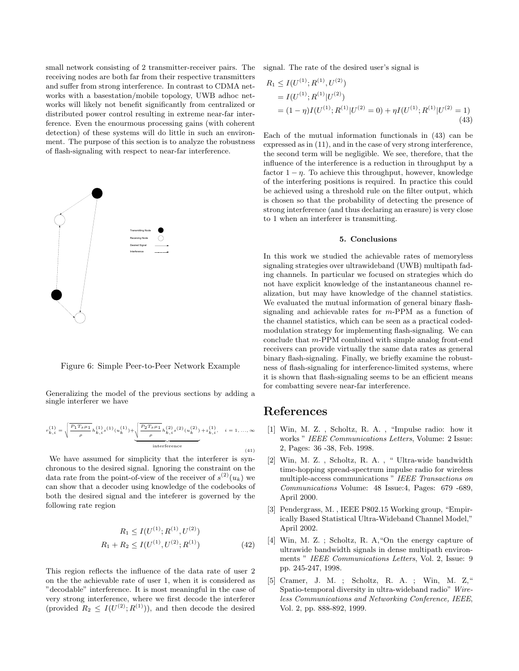small network consisting of 2 transmitter-receiver pairs. The receiving nodes are both far from their respective transmitters and suffer from strong interference. In contrast to CDMA networks with a basestation/mobile topology, UWB adhoc networks will likely not benefit significantly from centralized or distributed power control resulting in extreme near-far interference. Even the enourmous processing gains (with coherent detection) of these systems will do little in such an environment. The purpose of this section is to analyze the robustness of flash-signaling with respect to near-far interference.



Figure 6: Simple Peer-to-Peer Network Example

Generalizing the model of the previous sections by adding a single interferer we have

$$
r_{k,i}^{(1)} = \sqrt{\frac{P_1 T_s \mu_1}{\rho}} h_{k,i}^{(1)} s^{(1)} (u_k^{(1)}) + \underbrace{\sqrt{\frac{P_2 T_s \mu_1}{\rho}} h_{k,i}^{(2)} s^{(2)} (u_k^{(2)})}_{\text{interference}} + z_{k,i}^{(1)}, \quad i = 1, ..., \infty
$$
\n(41)

We have assumed for simplicity that the interferer is synchronous to the desired signal. Ignoring the constraint on the data rate from the point-of-view of the receiver of  $s^{(2)}(u_k)$  we can show that a decoder using knowledge of the codebooks of both the desired signal and the inteferer is governed by the following rate region

$$
R_1 \le I(U^{(1)}; R^{(1)}, U^{(2)})
$$
  

$$
R_1 + R_2 \le I(U^{(1)}, U^{(2)}; R^{(1)})
$$
 (42)

This region reflects the influence of the data rate of user 2 on the the achievable rate of user 1, when it is considered as "decodable" interference. It is most meaningful in the case of very strong interference, where we first decode the interferer (provided  $R_2 \n\t\leq I(U^{(2)}; R^{(1)})$ ), and then decode the desired

signal. The rate of the desired user's signal is

$$
R_1 \le I(U^{(1)}; R^{(1)}, U^{(2)})
$$
  
=  $I(U^{(1)}; R^{(1)}|U^{(2)})$   
=  $(1 - \eta)I(U^{(1)}; R^{(1)}|U^{(2)} = 0) + \eta I(U^{(1)}; R^{(1)}|U^{(2)} = 1)$   
(43)

Each of the mutual information functionals in (43) can be expressed as in (11), and in the case of very strong interference, the second term will be negligible. We see, therefore, that the influence of the interference is a reduction in throughput by a factor  $1 - \eta$ . To achieve this throughput, however, knowledge of the interfering positions is required. In practice this could be achieved using a threshold rule on the filter output, which is chosen so that the probability of detecting the presence of strong interference (and thus declaring an erasure) is very close to 1 when an interferer is transmitting.

#### 5. Conclusions

In this work we studied the achievable rates of memoryless signaling strategies over ultrawideband (UWB) multipath fading channels. In particular we focused on strategies which do not have explicit knowledge of the instantaneous channel realization, but may have knowledge of the channel statistics. We evaluated the mutual information of general binary flashsignaling and achievable rates for m-PPM as a function of the channel statistics, which can be seen as a practical codedmodulation strategy for implementing flash-signaling. We can conclude that m-PPM combined with simple analog front-end receivers can provide virtually the same data rates as general binary flash-signaling. Finally, we briefly examine the robustness of flash-signaling for interference-limited systems, where it is shown that flash-signaling seems to be an efficient means for combatting severe near-far interference.

## References

- [1] Win, M. Z. , Scholtz, R. A. , "Impulse radio: how it works " IEEE Communications Letters, Volume: 2 Issue: 2, Pages: 36 -38, Feb. 1998.
- [2] Win, M. Z. , Scholtz, R. A. , " Ultra-wide bandwidth time-hopping spread-spectrum impulse radio for wireless multiple-access communications " IEEE Transactions on Communications Volume: 48 Issue:4, Pages: 679 -689, April 2000.
- [3] Pendergrass, M. , IEEE P802.15 Working group, "Empirically Based Statistical Ultra-Wideband Channel Model," April 2002.
- [4] Win, M. Z. ; Scholtz, R. A,"On the energy capture of ultrawide bandwidth signals in dense multipath environments " IEEE Communications Letters, Vol. 2, Issue: 9 pp. 245-247, 1998.
- [5] Cramer, J. M. ; Scholtz, R. A. ; Win, M. Z," Spatio-temporal diversity in ultra-wideband radio" Wireless Communications and Networking Conference, IEEE, Vol. 2, pp. 888-892, 1999.